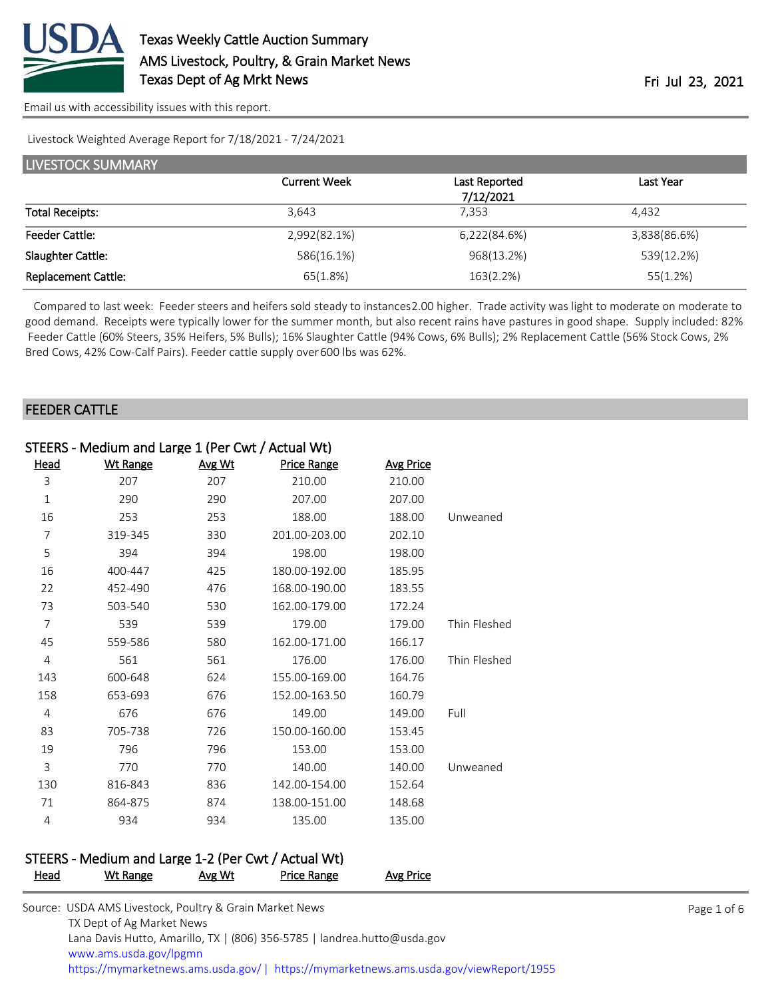

Livestock Weighted Average Report for 7/18/2021 - 7/24/2021

| LIVESTOCK SUMMARY          |                     |               |              |  |  |  |
|----------------------------|---------------------|---------------|--------------|--|--|--|
|                            | <b>Current Week</b> | Last Reported | Last Year    |  |  |  |
|                            |                     | 7/12/2021     |              |  |  |  |
| <b>Total Receipts:</b>     | 3.643               | 7.353         | 4.432        |  |  |  |
| <b>Feeder Cattle:</b>      | 2,992(82.1%)        | 6,222(84.6%)  | 3,838(86.6%) |  |  |  |
| Slaughter Cattle:          | 586(16.1%)          | 968(13.2%)    | 539(12.2%)   |  |  |  |
| <b>Replacement Cattle:</b> | 65(1.8%)            | 163(2.2%)     | 55(1.2%)     |  |  |  |

 Compared to last week: Feeder steers and heifers sold steady to instances 2.00 higher. Trade activity was light to moderate on moderate to good demand. Receipts were typically lower for the summer month, but also recent rains have pastures in good shape. Supply included: 82% Feeder Cattle (60% Steers, 35% Heifers, 5% Bulls); 16% Slaughter Cattle (94% Cows, 6% Bulls); 2% Replacement Cattle (56% Stock Cows, 2% Bred Cows, 42% Cow-Calf Pairs). Feeder cattle supply over 600 lbs was 62%.

### FEEDER CATTLE

| <b>Wt Range</b> | Avg Wt | Price Range   | <b>Avg Price</b>                                  |              |
|-----------------|--------|---------------|---------------------------------------------------|--------------|
| 207             | 207    | 210.00        | 210.00                                            |              |
| 290             | 290    | 207.00        | 207.00                                            |              |
| 253             | 253    | 188.00        | 188.00                                            | Unweaned     |
| 319-345         | 330    | 201.00-203.00 | 202.10                                            |              |
| 394             | 394    | 198.00        | 198.00                                            |              |
| 400-447         | 425    | 180.00-192.00 | 185.95                                            |              |
| 452-490         | 476    | 168.00-190.00 | 183.55                                            |              |
| 503-540         | 530    | 162.00-179.00 | 172.24                                            |              |
| 539             | 539    | 179.00        | 179.00                                            | Thin Fleshed |
| 559-586         | 580    | 162.00-171.00 | 166.17                                            |              |
| 561             | 561    | 176.00        | 176.00                                            | Thin Fleshed |
| 600-648         | 624    | 155.00-169.00 | 164.76                                            |              |
| 653-693         | 676    | 152.00-163.50 | 160.79                                            |              |
| 676             | 676    | 149.00        | 149.00                                            | Full         |
| 705-738         | 726    | 150.00-160.00 | 153.45                                            |              |
| 796             | 796    | 153.00        | 153.00                                            |              |
| 770             | 770    | 140.00        | 140.00                                            | Unweaned     |
| 816-843         | 836    | 142.00-154.00 | 152.64                                            |              |
| 864-875         | 874    | 138.00-151.00 | 148.68                                            |              |
| 934             | 934    | 135.00        | 135.00                                            |              |
|                 |        |               | STEERS - Medium and Large 1 (Per Cwt / Actual Wt) |              |

#### STEERS - Medium and Large 1-2 (Per Cwt / Actual Wt) Head Wt Range Avg Wt Price Range Avg Price

| Source: USDA AMS Livestock, Poultry & Grain Market News                               |
|---------------------------------------------------------------------------------------|
| TX Dept of Ag Market News                                                             |
| Lana Davis Hutto, Amarillo, TX   (806) 356-5785   landrea.hutto@usda.gov              |
| www.ams.usda.gov/lpgmn                                                                |
| https://mymarketnews.ams.usda.gov/  https://mymarketnews.ams.usda.gov/viewReport/1955 |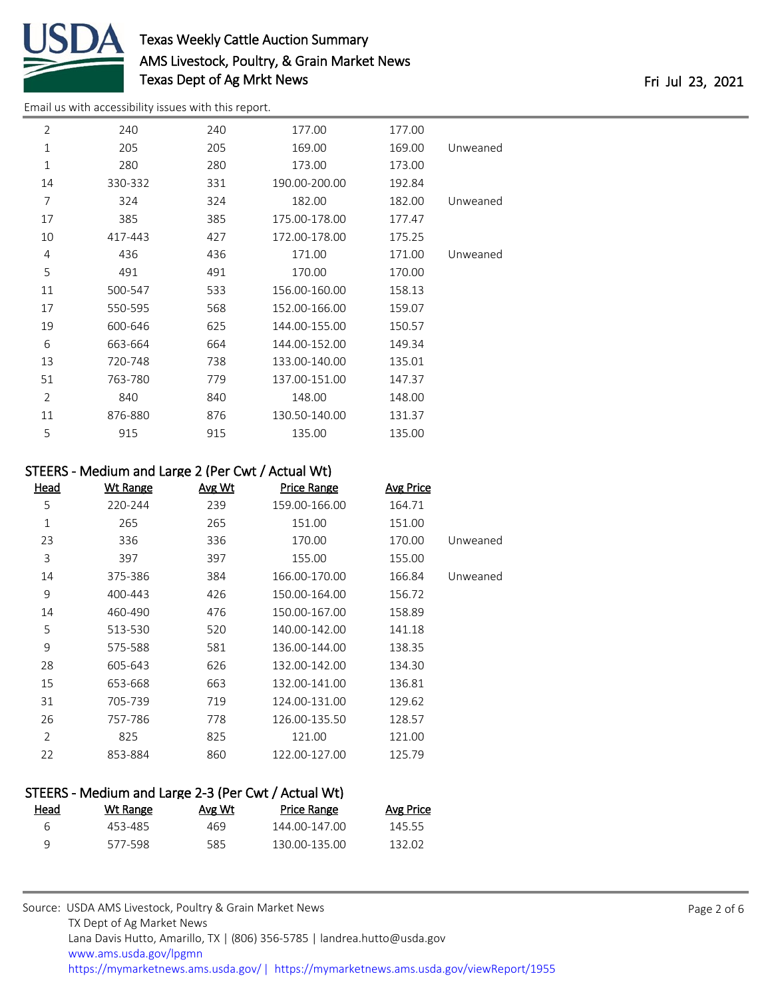

# Texas Weekly Cattle Auction Summary AMS Livestock, Poultry, & Grain Market News Texas Dept of Ag Mrkt News **Fri Jul 23**, 2021

[Email us with accessibility issues with this report.](mailto:mars@ams.usda.gov?subject=508%20issue)

| $\overline{2}$ | 240     | 240 | 177.00        | 177.00 |          |
|----------------|---------|-----|---------------|--------|----------|
| 1              | 205     | 205 | 169.00        | 169.00 | Unweaned |
| $\mathbf{1}$   | 280     | 280 | 173.00        | 173.00 |          |
| 14             | 330-332 | 331 | 190.00-200.00 | 192.84 |          |
| 7              | 324     | 324 | 182.00        | 182.00 | Unweaned |
| 17             | 385     | 385 | 175.00-178.00 | 177.47 |          |
| 10             | 417-443 | 427 | 172.00-178.00 | 175.25 |          |
| 4              | 436     | 436 | 171.00        | 171.00 | Unweaned |
| 5              | 491     | 491 | 170.00        | 170.00 |          |
| 11             | 500-547 | 533 | 156.00-160.00 | 158.13 |          |
| 17             | 550-595 | 568 | 152.00-166.00 | 159.07 |          |
| 19             | 600-646 | 625 | 144.00-155.00 | 150.57 |          |
| 6              | 663-664 | 664 | 144.00-152.00 | 149.34 |          |
| 13             | 720-748 | 738 | 133.00-140.00 | 135.01 |          |
| 51             | 763-780 | 779 | 137.00-151.00 | 147.37 |          |
| $\overline{2}$ | 840     | 840 | 148.00        | 148.00 |          |
| 11             | 876-880 | 876 | 130.50-140.00 | 131.37 |          |
| 5              | 915     | 915 | 135.00        | 135.00 |          |
|                |         |     |               |        |          |

# STEERS - Medium and Large 2 (Per Cwt / Actual Wt)

| <u>Head</u>    | <b>Wt Range</b> | Avg Wt | <b>Price Range</b> | <b>Avg Price</b> |          |
|----------------|-----------------|--------|--------------------|------------------|----------|
| 5              | 220-244         | 239    | 159.00-166.00      | 164.71           |          |
| 1              | 265             | 265    | 151.00             | 151.00           |          |
| 23             | 336             | 336    | 170.00             | 170.00           | Unweaned |
| 3              | 397             | 397    | 155.00             | 155.00           |          |
| 14             | 375-386         | 384    | 166.00-170.00      | 166.84           | Unweaned |
| 9              | 400-443         | 426    | 150.00-164.00      | 156.72           |          |
| 14             | 460-490         | 476    | 150.00-167.00      | 158.89           |          |
| 5              | 513-530         | 520    | 140.00-142.00      | 141.18           |          |
| 9              | 575-588         | 581    | 136.00-144.00      | 138.35           |          |
| 28             | 605-643         | 626    | 132.00-142.00      | 134.30           |          |
| 15             | 653-668         | 663    | 132.00-141.00      | 136.81           |          |
| 31             | 705-739         | 719    | 124.00-131.00      | 129.62           |          |
| 26             | 757-786         | 778    | 126.00-135.50      | 128.57           |          |
| $\overline{2}$ | 825             | 825    | 121.00             | 121.00           |          |
| 22             | 853-884         | 860    | 122.00-127.00      | 125.79           |          |

| STEERS - Medium and Large 2-3 (Per Cwt / Actual Wt) |          |        |                    |                  |  |  |
|-----------------------------------------------------|----------|--------|--------------------|------------------|--|--|
| Head                                                | Wt Range | Avg Wt | <b>Price Range</b> | <b>Avg Price</b> |  |  |
| 6                                                   | 453-485  | 469    | 144.00-147.00      | 145.55           |  |  |
| Q                                                   | 577-598  | 585    | 130 00-135 00      | 132 O2           |  |  |
|                                                     |          |        |                    |                  |  |  |

| Source: USDA AMS Livestock, Poultry & Grain Market News                                |
|----------------------------------------------------------------------------------------|
| TX Dept of Ag Market News                                                              |
| Lana Davis Hutto, Amarillo, TX   (806) 356-5785   landrea.hutto@usda.gov               |
| www.ams.usda.gov/lpgmn                                                                 |
| https://mymarketnews.ams.usda.gov/   https://mymarketnews.ams.usda.gov/viewReport/1955 |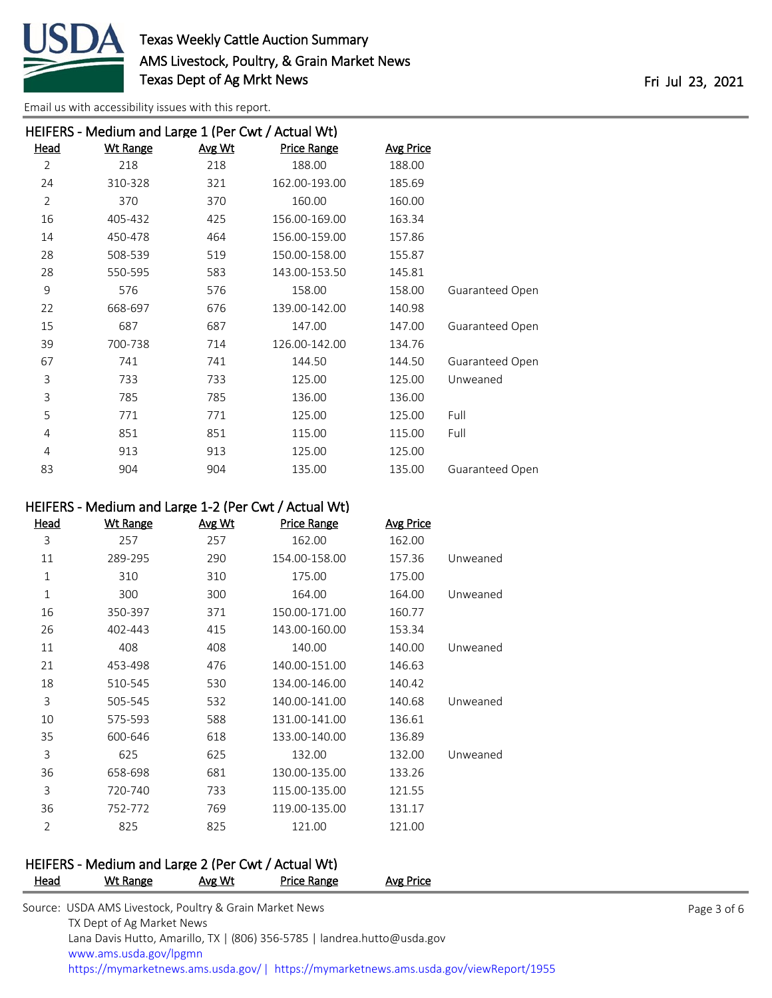

|                | HEIFERS - Medium and Large 1 (Per Cwt / Actual Wt) |        |                    |                  |                        |  |  |  |
|----------------|----------------------------------------------------|--------|--------------------|------------------|------------------------|--|--|--|
| <u>Head</u>    | <u>Wt Range</u>                                    | Avg Wt | <b>Price Range</b> | <b>Avg Price</b> |                        |  |  |  |
| $\overline{2}$ | 218                                                | 218    | 188.00             | 188.00           |                        |  |  |  |
| 24             | 310-328                                            | 321    | 162.00-193.00      | 185.69           |                        |  |  |  |
| $\overline{2}$ | 370                                                | 370    | 160.00             | 160.00           |                        |  |  |  |
| 16             | 405-432                                            | 425    | 156.00-169.00      | 163.34           |                        |  |  |  |
| 14             | 450-478                                            | 464    | 156.00-159.00      | 157.86           |                        |  |  |  |
| 28             | 508-539                                            | 519    | 150.00-158.00      | 155.87           |                        |  |  |  |
| 28             | 550-595                                            | 583    | 143.00-153.50      | 145.81           |                        |  |  |  |
| 9              | 576                                                | 576    | 158.00             | 158.00           | Guaranteed Open        |  |  |  |
| 22             | 668-697                                            | 676    | 139.00-142.00      | 140.98           |                        |  |  |  |
| 15             | 687                                                | 687    | 147.00             | 147.00           | Guaranteed Open        |  |  |  |
| 39             | 700-738                                            | 714    | 126.00-142.00      | 134.76           |                        |  |  |  |
| 67             | 741                                                | 741    | 144.50             | 144.50           | Guaranteed Open        |  |  |  |
| 3              | 733                                                | 733    | 125.00             | 125.00           | Unweaned               |  |  |  |
| 3              | 785                                                | 785    | 136.00             | 136.00           |                        |  |  |  |
| 5              | 771                                                | 771    | 125.00             | 125.00           | Full                   |  |  |  |
| 4              | 851                                                | 851    | 115.00             | 115.00           | Full                   |  |  |  |
| 4              | 913                                                | 913    | 125.00             | 125.00           |                        |  |  |  |
| 83             | 904                                                | 904    | 135.00             | 135.00           | <b>Guaranteed Open</b> |  |  |  |

# HEIFERS - Medium and Large 1-2 (Per Cwt / Actual Wt)

| <u>Head</u> | <b>Wt Range</b> | Avg Wt | <b>Price Range</b> | <b>Avg Price</b> |          |
|-------------|-----------------|--------|--------------------|------------------|----------|
| 3           | 257             | 257    | 162.00             | 162.00           |          |
| 11          | 289-295         | 290    | 154.00-158.00      | 157.36           | Unweaned |
| 1           | 310             | 310    | 175.00             | 175.00           |          |
| 1           | 300             | 300    | 164.00             | 164.00           | Unweaned |
| 16          | 350-397         | 371    | 150.00-171.00      | 160.77           |          |
| 26          | 402-443         | 415    | 143.00-160.00      | 153.34           |          |
| 11          | 408             | 408    | 140.00             | 140.00           | Unweaned |
| 21          | 453-498         | 476    | 140.00-151.00      | 146.63           |          |
| 18          | 510-545         | 530    | 134.00-146.00      | 140.42           |          |
| 3           | 505-545         | 532    | 140.00-141.00      | 140.68           | Unweaned |
| 10          | 575-593         | 588    | 131.00-141.00      | 136.61           |          |
| 35          | 600-646         | 618    | 133.00-140.00      | 136.89           |          |
| 3           | 625             | 625    | 132.00             | 132.00           | Unweaned |
| 36          | 658-698         | 681    | 130.00-135.00      | 133.26           |          |
| 3           | 720-740         | 733    | 115.00-135.00      | 121.55           |          |
| 36          | 752-772         | 769    | 119.00-135.00      | 131.17           |          |
| 2           | 825             | 825    | 121.00             | 121.00           |          |
|             |                 |        |                    |                  |          |

#### HEIFERS - Medium and Large 2 (Per Cwt / Actual Wt) Price Range Avg Price

| . | .                                                                                    | . | . | $11.7$                                                                                 |             |
|---|--------------------------------------------------------------------------------------|---|---|----------------------------------------------------------------------------------------|-------------|
|   | Source: USDA AMS Livestock, Poultry & Grain Market News<br>TX Dept of Ag Market News |   |   |                                                                                        | Page 3 of 6 |
|   | Lana Davis Hutto, Amarillo, TX   (806) 356-5785   landrea.hutto@usda.gov             |   |   |                                                                                        |             |
|   | www.ams.usda.gov/lpgmn                                                               |   |   |                                                                                        |             |
|   |                                                                                      |   |   | https://mymarketnews.ams.usda.gov/   https://mymarketnews.ams.usda.gov/viewReport/1955 |             |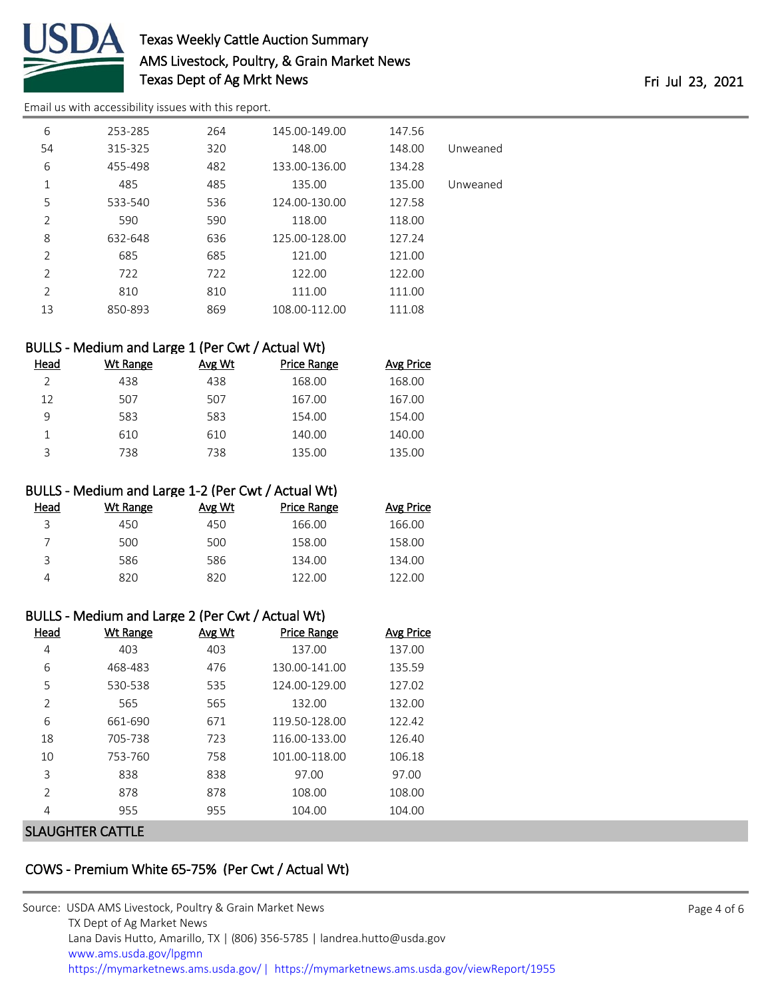

# Texas Weekly Cattle Auction Summary AMS Livestock, Poultry, & Grain Market News Texas Dept of Ag Mrkt News Fri Jul 23, 2021

[Email us with accessibility issues with this report.](mailto:mars@ams.usda.gov?subject=508%20issue)

| 6              | 253-285 | 264 | 145.00-149.00 | 147.56 |          |
|----------------|---------|-----|---------------|--------|----------|
| 54             | 315-325 | 320 | 148.00        | 148.00 | Unweaned |
| 6              | 455-498 | 482 | 133.00-136.00 | 134.28 |          |
| 1              | 485     | 485 | 135.00        | 135.00 | Unweaned |
| 5              | 533-540 | 536 | 124.00-130.00 | 127.58 |          |
| $\overline{2}$ | 590     | 590 | 118.00        | 118.00 |          |
| 8              | 632-648 | 636 | 125.00-128.00 | 127.24 |          |
| $\overline{2}$ | 685     | 685 | 121.00        | 121.00 |          |
| $\overline{2}$ | 722     | 722 | 122.00        | 122.00 |          |
| 2              | 810     | 810 | 111.00        | 111.00 |          |
| 13             | 850-893 | 869 | 108.00-112.00 | 111.08 |          |

# BULLS - Medium and Large 1 (Per Cwt / Actual Wt)

| Head | Wt Range | Avg Wt | <b>Price Range</b> | <b>Avg Price</b> |
|------|----------|--------|--------------------|------------------|
|      | 438      | 438    | 168.00             | 168.00           |
| 12   | 507      | 507    | 167.00             | 167.00           |
| 9    | 583      | 583    | 154.00             | 154.00           |
|      | 610      | 610    | 140.00             | 140.00           |
| ₹    | 738      | 738    | 135.00             | 135.00           |

### BULLS - Medium and Large 1-2 (Per Cwt / Actual Wt)

| Head | Wt Range | Avg Wt | Price Range | Avg Price |
|------|----------|--------|-------------|-----------|
| 3    | 450      | 450    | 166.00      | 166.00    |
|      | 500      | 500    | 158.00      | 158.00    |
| ς    | 586      | 586    | 134.00      | 134.00    |
|      | 820      | 820    | 122.00      | 122.00    |

### BULLS - Medium and Large 2 (Per Cwt / Actual Wt)

| Head           | Wt Range | Avg Wt | <b>Price Range</b> | <b>Avg Price</b> |
|----------------|----------|--------|--------------------|------------------|
| 4              | 403      | 403    | 137.00             | 137.00           |
| 6              | 468-483  | 476    | 130.00-141.00      | 135.59           |
| 5              | 530-538  | 535    | 124.00-129.00      | 127.02           |
| $\overline{2}$ | 565      | 565    | 132.00             | 132.00           |
| 6              | 661-690  | 671    | 119.50-128.00      | 122.42           |
| 18             | 705-738  | 723    | 116.00-133.00      | 126.40           |
| 10             | 753-760  | 758    | 101.00-118.00      | 106.18           |
| 3              | 838      | 838    | 97.00              | 97.00            |
| $\overline{2}$ | 878      | 878    | 108.00             | 108.00           |
| 4              | 955      | 955    | 104.00             | 104.00           |
| ----------     |          |        |                    |                  |

### SLAUGHTER CATTLE

### COWS - Premium White 65-75% (Per Cwt / Actual Wt)

| Source: USDA AMS Livestock, Poultry & Grain Market News                                |  |
|----------------------------------------------------------------------------------------|--|
| TX Dept of Ag Market News                                                              |  |
| Lana Davis Hutto, Amarillo, TX   (806) 356-5785   landrea.hutto@usda.gov               |  |
| www.ams.usda.gov/lpgmn                                                                 |  |
| https://mymarketnews.ams.usda.gov/   https://mymarketnews.ams.usda.gov/viewReport/1955 |  |

Page 4 of 6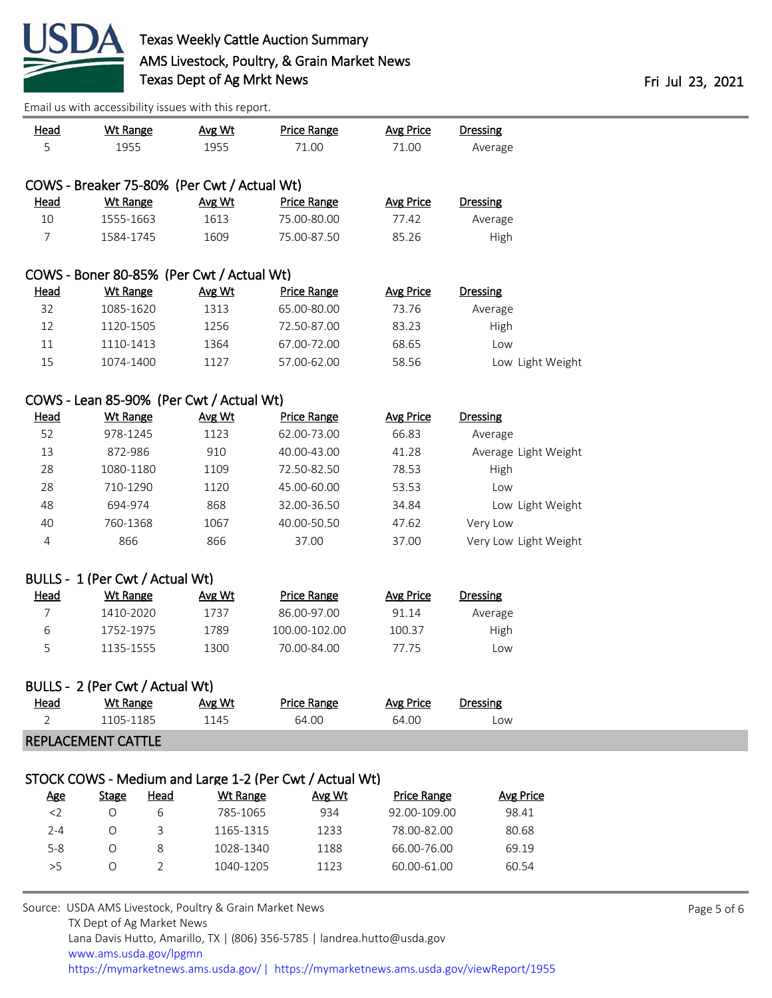

| <b>Head</b>    | <b>Wt Range</b>                 |             | Avg Wt                                      | <b>Price Range</b>                                      | <b>Avg Price</b>   | <b>Dressing</b>       |                      |  |
|----------------|---------------------------------|-------------|---------------------------------------------|---------------------------------------------------------|--------------------|-----------------------|----------------------|--|
| 5              | 1955                            |             | 1955                                        | 71.00                                                   | 71.00              | Average               |                      |  |
|                |                                 |             |                                             |                                                         |                    |                       |                      |  |
|                |                                 |             | COWS - Breaker 75-80% (Per Cwt / Actual Wt) |                                                         |                    |                       |                      |  |
| <b>Head</b>    | <b>Wt Range</b>                 |             | Avg Wt                                      | <b>Price Range</b>                                      | <b>Avg Price</b>   | <b>Dressing</b>       |                      |  |
| 10             | 1555-1663                       |             | 1613                                        | 75.00-80.00                                             | 77.42              | Average               |                      |  |
| $\overline{7}$ | 1584-1745                       |             | 1609                                        | 75.00-87.50                                             | 85.26              | High                  |                      |  |
|                |                                 |             |                                             |                                                         |                    |                       |                      |  |
|                |                                 |             | COWS - Boner 80-85% (Per Cwt / Actual Wt)   |                                                         |                    |                       |                      |  |
| <b>Head</b>    | <b>Wt Range</b>                 |             | Avg Wt                                      | <b>Price Range</b>                                      | <b>Avg Price</b>   | <b>Dressing</b>       |                      |  |
| 32             | 1085-1620                       |             | 1313                                        | 65.00-80.00                                             | 73.76              | Average               |                      |  |
| 12             | 1120-1505                       |             | 1256                                        | 72.50-87.00                                             | 83.23              | High                  |                      |  |
| 11             | 1110-1413                       |             | 1364                                        | 67.00-72.00                                             | 68.65              | Low                   |                      |  |
| 15             | 1074-1400                       |             | 1127                                        | 57.00-62.00                                             | 58.56              |                       | Low Light Weight     |  |
|                |                                 |             |                                             |                                                         |                    |                       |                      |  |
|                |                                 |             | COWS - Lean 85-90% (Per Cwt / Actual Wt)    |                                                         |                    |                       |                      |  |
| <b>Head</b>    | <b>Wt Range</b>                 |             | Avg Wt                                      | <b>Price Range</b>                                      | <b>Avg Price</b>   | <b>Dressing</b>       |                      |  |
| 52             | 978-1245                        |             | 1123                                        | 62.00-73.00                                             | 66.83              | Average               |                      |  |
| 13             | 872-986                         |             | 910                                         | 40.00-43.00                                             | 41.28              |                       | Average Light Weight |  |
| 28             | 1080-1180                       |             | 1109                                        | 72.50-82.50                                             | 78.53              | High                  |                      |  |
| 28             | 710-1290                        |             | 1120                                        | 45.00-60.00                                             | 53.53              | Low                   |                      |  |
| 48             | 694-974                         |             | 868                                         | 32.00-36.50                                             | 34.84              |                       | Low Light Weight     |  |
| 40             | 760-1368                        |             | 1067                                        | 40.00-50.50                                             | 47.62              | Very Low              |                      |  |
| 4              | 866                             |             | 866                                         | 37.00                                                   | 37.00              | Very Low Light Weight |                      |  |
|                |                                 |             |                                             |                                                         |                    |                       |                      |  |
|                | BULLS - 1 (Per Cwt / Actual Wt) |             |                                             |                                                         |                    |                       |                      |  |
| <b>Head</b>    | <b>Wt Range</b>                 |             | Avg Wt                                      | <b>Price Range</b>                                      | <b>Avg Price</b>   | <b>Dressing</b>       |                      |  |
| 7              | 1410-2020                       |             | 1737                                        | 86.00-97.00                                             | 91.14              | Average               |                      |  |
| 6              | 1752-1975                       |             | 1789                                        | 100.00-102.00                                           | 100.37             | High                  |                      |  |
| 5              | 1135-1555                       |             | 1300                                        | 70.00-84.00                                             | 77.75              | Low                   |                      |  |
|                |                                 |             |                                             |                                                         |                    |                       |                      |  |
|                | BULLS - 2 (Per Cwt / Actual Wt) |             |                                             |                                                         |                    |                       |                      |  |
| Head           | <b>Wt Range</b>                 |             | Avg Wt                                      | <b>Price Range</b>                                      | <b>Avg Price</b>   | <b>Dressing</b>       |                      |  |
| $\overline{2}$ | 1105-1185                       |             | 1145                                        | 64.00                                                   | 64.00              | Low                   |                      |  |
|                | REPLACEMENT CATTLE              |             |                                             |                                                         |                    |                       |                      |  |
|                |                                 |             |                                             |                                                         |                    |                       |                      |  |
|                |                                 |             |                                             | STOCK COWS - Medium and Large 1-2 (Per Cwt / Actual Wt) |                    |                       |                      |  |
| <u>Age</u>     | <b>Stage</b>                    | <b>Head</b> | <b>Wt Range</b>                             | Avg Wt                                                  | <b>Price Range</b> | <b>Avg Price</b>      |                      |  |
| $<$ 2          | $\circ$                         | 6           | 785-1065                                    | 934                                                     | 92.00-109.00       | 98.41                 |                      |  |
| $2 - 4$        | O                               | 3           | 1165-1315                                   | 1233                                                    | 78.00-82.00        | 80.68                 |                      |  |
| $5 - 8$        | O                               | 8           | 1028-1340                                   | 1188                                                    | 66.00-76.00        | 69.19                 |                      |  |
| >5             | O                               | 2           | 1040-1205                                   | 1123                                                    | 60.00-61.00        | 60.54                 |                      |  |